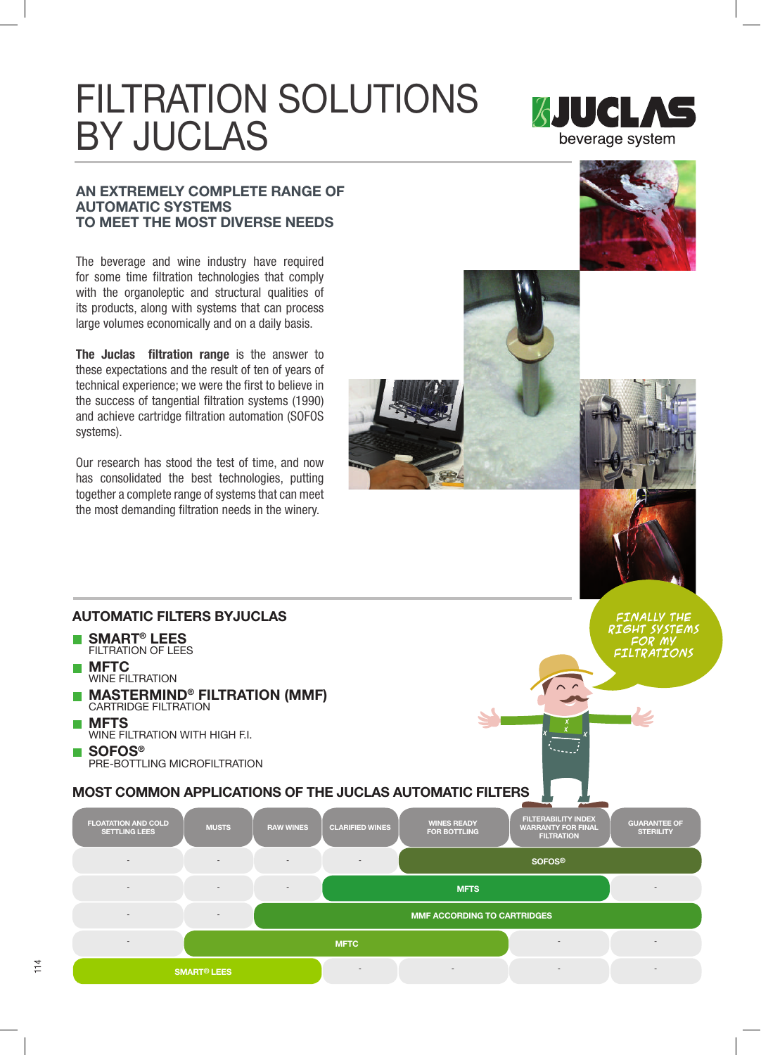# FILTRATION SOLUTIONS BY JUCLAS



#### AN EXTREMELY COMPLETE RANGE OF AUTOMATIC SYSTEMS TO MEET THE MOST DIVERSE NEEDS

The beverage and wine industry have required for some time filtration technologies that comply with the organoleptic and structural qualities of its products, along with systems that can process large volumes economically and on a daily basis.

The Juclas filtration range is the answer to these expectations and the result of ten of years of technical experience; we were the first to believe in the success of tangential filtration systems (1990) and achieve cartridge filtration automation (SOFOS systems).

Our research has stood the test of time, and now has consolidated the best technologies, putting together a complete range of systems that can meet the most demanding filtration needs in the winery.







FINALLY THE RIGHT SYSTEMS FOR MY

## AUTOMATIC FILTERS BYJUCLAS

- SMART<sup>®</sup> LEES FILTRATION OF LEES
- **MFTC** WINE FILTRATION
- **MASTERMIND<sup>®</sup> FILTRATION (MMF)** CARTRIDGE FILTRATION
- **METS** WINE FILTRATION WITH HIGH F.I. ■ SOFOS<sup>®</sup> PRE-BOTTLING MICROFILTRATION
-